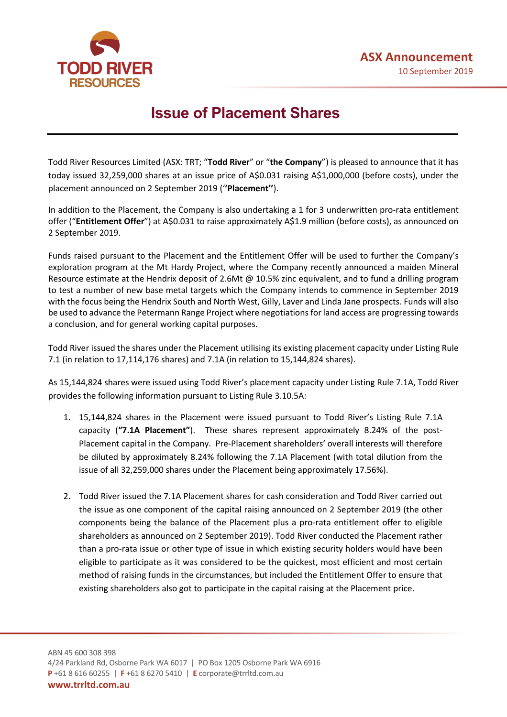

# **Issue of Placement Shares**

Todd River Resources Limited (ASX: TRT; "**Todd River**" or "**the Company**") is pleased to announce that it has today issued 32,259,000 shares at an issue price of A\$0.031 raising A\$1,000,000 (before costs), under the placement announced on 2 September 2019 ('**'Placement''**).

In addition to the Placement, the Company is also undertaking a 1 for 3 underwritten pro-rata entitlement offer ("**Entitlement Offer**") at A\$0.031 to raise approximately A\$1.9 million (before costs), as announced on 2 September 2019.

Funds raised pursuant to the Placement and the Entitlement Offer will be used to further the Company's exploration program at the Mt Hardy Project, where the Company recently announced a maiden Mineral Resource estimate at the Hendrix deposit of 2.6Mt @ 10.5% zinc equivalent, and to fund a drilling program to test a number of new base metal targets which the Company intends to commence in September 2019 with the focus being the Hendrix South and North West, Gilly, Laver and Linda Jane prospects. Funds will also be used to advance the Petermann Range Project where negotiations for land access are progressing towards a conclusion, and for general working capital purposes.

Todd River issued the shares under the Placement utilising its existing placement capacity under Listing Rule 7.1 (in relation to 17,114,176 shares) and 7.1A (in relation to 15,144,824 shares).

As 15,144,824 shares were issued using Todd River's placement capacity under Listing Rule 7.1A, Todd River provides the following information pursuant to Listing Rule 3.10.5A:

- 1. 15,144,824 shares in the Placement were issued pursuant to Todd River's Listing Rule 7.1A capacity (**"7.1A Placement"**). These shares represent approximately 8.24% of the post-Placement capital in the Company. Pre-Placement shareholders' overall interests will therefore be diluted by approximately 8.24% following the 7.1A Placement (with total dilution from the issue of all 32,259,000 shares under the Placement being approximately 17.56%).
- 2. Todd River issued the 7.1A Placement shares for cash consideration and Todd River carried out the issue as one component of the capital raising announced on 2 September 2019 (the other components being the balance of the Placement plus a pro-rata entitlement offer to eligible shareholders as announced on 2 September 2019). Todd River conducted the Placement rather than a pro-rata issue or other type of issue in which existing security holders would have been eligible to participate as it was considered to be the quickest, most efficient and most certain method of raising funds in the circumstances, but included the Entitlement Offer to ensure that existing shareholders also got to participate in the capital raising at the Placement price.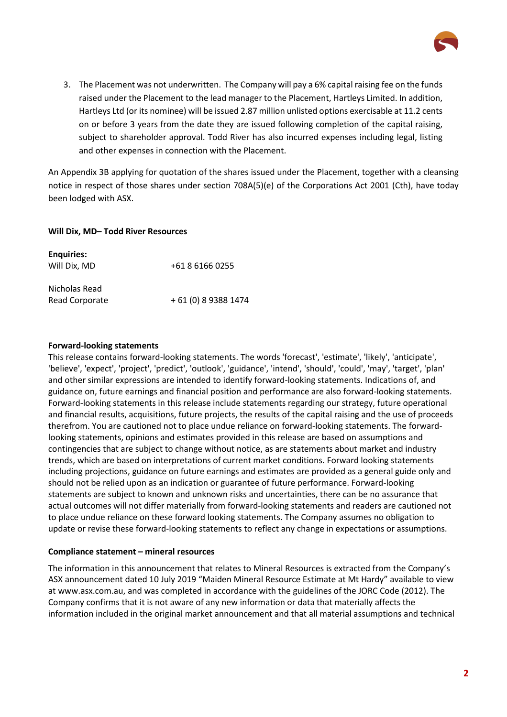

3. The Placement was not underwritten. The Company will pay a 6% capital raising fee on the funds raised under the Placement to the lead manager to the Placement, Hartleys Limited. In addition, Hartleys Ltd (or its nominee) will be issued 2.87 million unlisted options exercisable at 11.2 cents on or before 3 years from the date they are issued following completion of the capital raising, subject to shareholder approval. Todd River has also incurred expenses including legal, listing and other expenses in connection with the Placement.

An Appendix 3B applying for quotation of the shares issued under the Placement, together with a cleansing notice in respect of those shares under section 708A(5)(e) of the Corporations Act 2001 (Cth), have today been lodged with ASX.

## **Will Dix, MD– Todd River Resources**

| <b>Enquiries:</b><br>Will Dix, MD | +61 8 6166 0255      |
|-----------------------------------|----------------------|
| Nicholas Read<br>Read Corporate   | + 61 (0) 8 9388 1474 |

## **Forward-looking statements**

This release contains forward-looking statements. The words 'forecast', 'estimate', 'likely', 'anticipate', 'believe', 'expect', 'project', 'predict', 'outlook', 'guidance', 'intend', 'should', 'could', 'may', 'target', 'plan' and other similar expressions are intended to identify forward-looking statements. Indications of, and guidance on, future earnings and financial position and performance are also forward-looking statements. Forward-looking statements in this release include statements regarding our strategy, future operational and financial results, acquisitions, future projects, the results of the capital raising and the use of proceeds therefrom. You are cautioned not to place undue reliance on forward-looking statements. The forwardlooking statements, opinions and estimates provided in this release are based on assumptions and contingencies that are subject to change without notice, as are statements about market and industry trends, which are based on interpretations of current market conditions. Forward looking statements including projections, guidance on future earnings and estimates are provided as a general guide only and should not be relied upon as an indication or guarantee of future performance. Forward-looking statements are subject to known and unknown risks and uncertainties, there can be no assurance that actual outcomes will not differ materially from forward-looking statements and readers are cautioned not to place undue reliance on these forward looking statements. The Company assumes no obligation to update or revise these forward-looking statements to reflect any change in expectations or assumptions.

#### **Compliance statement – mineral resources**

The information in this announcement that relates to Mineral Resources is extracted from the Company's ASX announcement dated 10 July 2019 "Maiden Mineral Resource Estimate at Mt Hardy" available to view at www.asx.com.au, and was completed in accordance with the guidelines of the JORC Code (2012). The Company confirms that it is not aware of any new information or data that materially affects the information included in the original market announcement and that all material assumptions and technical